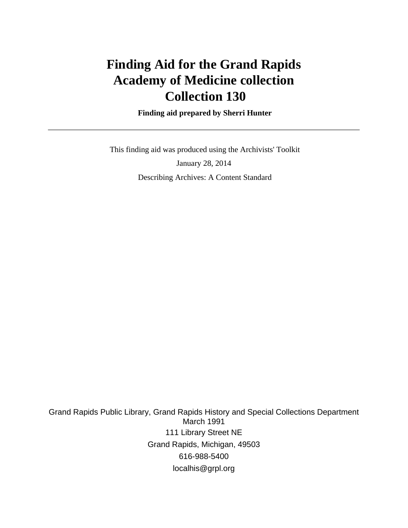# **Finding Aid for the Grand Rapids Academy of Medicine collection Collection 130**

 **Finding aid prepared by Sherri Hunter**

 This finding aid was produced using the Archivists' Toolkit January 28, 2014 Describing Archives: A Content Standard

Grand Rapids Public Library, Grand Rapids History and Special Collections Department March 1991 111 Library Street NE Grand Rapids, Michigan, 49503 616-988-5400 localhis@grpl.org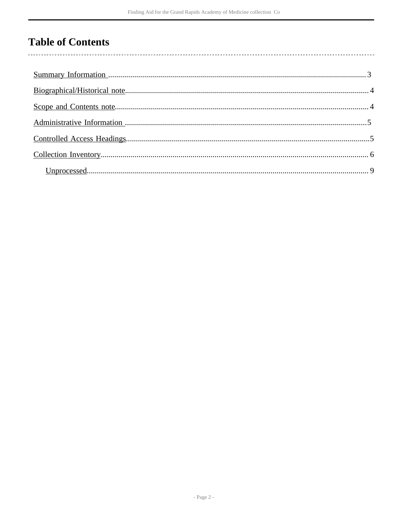# **Table of Contents**

l,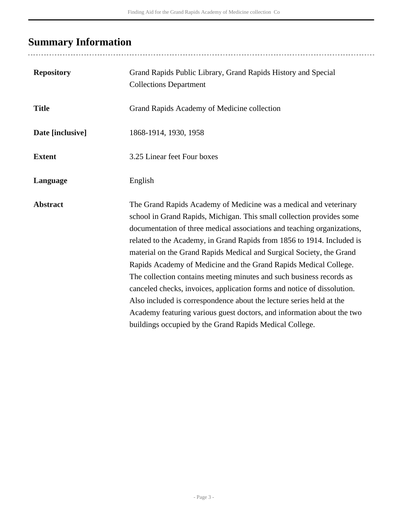# <span id="page-2-0"></span>**Summary Information**

| <b>Repository</b> | Grand Rapids Public Library, Grand Rapids History and Special<br><b>Collections Department</b>                                                                                                                                                                                                                                                                                                                                                                                                                                                                                                                                                                                                                                                                                                              |
|-------------------|-------------------------------------------------------------------------------------------------------------------------------------------------------------------------------------------------------------------------------------------------------------------------------------------------------------------------------------------------------------------------------------------------------------------------------------------------------------------------------------------------------------------------------------------------------------------------------------------------------------------------------------------------------------------------------------------------------------------------------------------------------------------------------------------------------------|
| <b>Title</b>      | Grand Rapids Academy of Medicine collection                                                                                                                                                                                                                                                                                                                                                                                                                                                                                                                                                                                                                                                                                                                                                                 |
| Date [inclusive]  | 1868-1914, 1930, 1958                                                                                                                                                                                                                                                                                                                                                                                                                                                                                                                                                                                                                                                                                                                                                                                       |
| <b>Extent</b>     | 3.25 Linear feet Four boxes                                                                                                                                                                                                                                                                                                                                                                                                                                                                                                                                                                                                                                                                                                                                                                                 |
| Language          | English                                                                                                                                                                                                                                                                                                                                                                                                                                                                                                                                                                                                                                                                                                                                                                                                     |
| <b>Abstract</b>   | The Grand Rapids Academy of Medicine was a medical and veterinary<br>school in Grand Rapids, Michigan. This small collection provides some<br>documentation of three medical associations and teaching organizations,<br>related to the Academy, in Grand Rapids from 1856 to 1914. Included is<br>material on the Grand Rapids Medical and Surgical Society, the Grand<br>Rapids Academy of Medicine and the Grand Rapids Medical College.<br>The collection contains meeting minutes and such business records as<br>canceled checks, invoices, application forms and notice of dissolution.<br>Also included is correspondence about the lecture series held at the<br>Academy featuring various guest doctors, and information about the two<br>buildings occupied by the Grand Rapids Medical College. |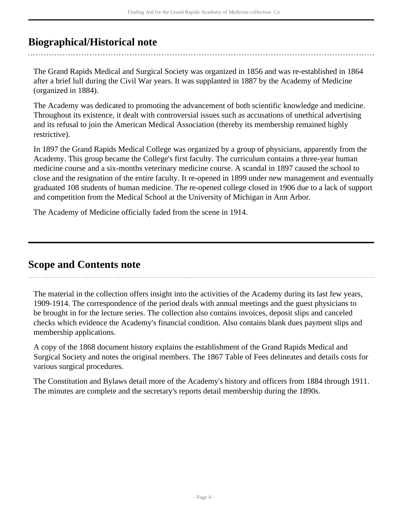## <span id="page-3-0"></span>**Biographical/Historical note**

The Grand Rapids Medical and Surgical Society was organized in 1856 and was re-established in 1864 after a brief lull during the Civil War years. It was supplanted in 1887 by the Academy of Medicine (organized in 1884).

The Academy was dedicated to promoting the advancement of both scientific knowledge and medicine. Throughout its existence, it dealt with controversial issues such as accusations of unethical advertising and its refusal to join the American Medical Association (thereby its membership remained highly restrictive).

In 1897 the Grand Rapids Medical College was organized by a group of physicians, apparently from the Academy. This group became the College's first faculty. The curriculum contains a three-year human medicine course and a six-months veterinary medicine course. A scandal in 1897 caused the school to close and the resignation of the entire faculty. It re-opened in 1899 under new management and eventually graduated 108 students of human medicine. The re-opened college closed in 1906 due to a lack of support and competition from the Medical School at the University of Michigan in Ann Arbor.

The Academy of Medicine officially faded from the scene in 1914.

## <span id="page-3-1"></span>**Scope and Contents note**

The material in the collection offers insight into the activities of the Academy during its last few years, 1909-1914. The correspondence of the period deals with annual meetings and the guest physicians to be brought in for the lecture series. The collection also contains invoices, deposit slips and canceled checks which evidence the Academy's financial condition. Also contains blank dues payment slips and membership applications.

A copy of the 1868 document history explains the establishment of the Grand Rapids Medical and Surgical Society and notes the original members. The 1867 Table of Fees delineates and details costs for various surgical procedures.

The Constitution and Bylaws detail more of the Academy's history and officers from 1884 through 1911. The minutes are complete and the secretary's reports detail membership during the 1890s.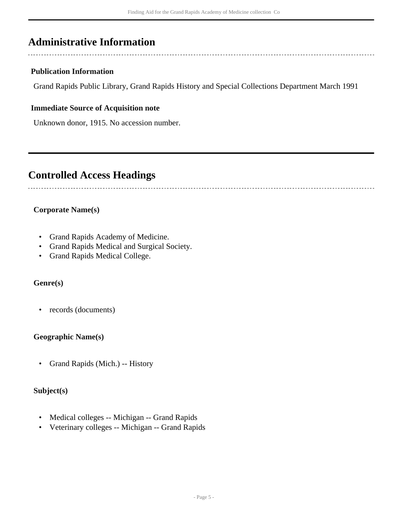## <span id="page-4-0"></span>**Administrative Information**

### **Publication Information**

Grand Rapids Public Library, Grand Rapids History and Special Collections Department March 1991

#### **Immediate Source of Acquisition note**

Unknown donor, 1915. No accession number.

## <span id="page-4-1"></span>**Controlled Access Headings**

## **Corporate Name(s)**

- Grand Rapids Academy of Medicine.
- Grand Rapids Medical and Surgical Society.
- Grand Rapids Medical College.

### **Genre(s)**

• records (documents)

#### **Geographic Name(s)**

• Grand Rapids (Mich.) -- History

### **Subject(s)**

- Medical colleges -- Michigan -- Grand Rapids
- Veterinary colleges -- Michigan -- Grand Rapids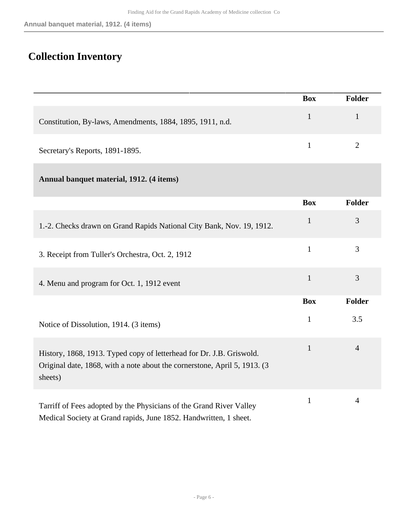## <span id="page-5-0"></span>**Collection Inventory**

|                                                                                                                                                              | <b>Box</b>   | Folder         |
|--------------------------------------------------------------------------------------------------------------------------------------------------------------|--------------|----------------|
| Constitution, By-laws, Amendments, 1884, 1895, 1911, n.d.                                                                                                    | $\mathbf{1}$ | $\mathbf{1}$   |
| Secretary's Reports, 1891-1895.                                                                                                                              | $\mathbf{1}$ | $\mathbf{2}$   |
| Annual banquet material, 1912. (4 items)                                                                                                                     |              |                |
|                                                                                                                                                              | <b>Box</b>   | Folder         |
| 1.-2. Checks drawn on Grand Rapids National City Bank, Nov. 19, 1912.                                                                                        | 1            | 3              |
| 3. Receipt from Tuller's Orchestra, Oct. 2, 1912                                                                                                             | $\mathbf{1}$ | 3              |
| 4. Menu and program for Oct. 1, 1912 event                                                                                                                   | $\mathbf{1}$ | 3              |
|                                                                                                                                                              | <b>Box</b>   | Folder         |
| Notice of Dissolution, 1914. (3 items)                                                                                                                       | $\mathbf{1}$ | 3.5            |
| History, 1868, 1913. Typed copy of letterhead for Dr. J.B. Griswold.<br>Original date, 1868, with a note about the cornerstone, April 5, 1913. (3<br>sheets) | $\mathbf{1}$ | $\overline{4}$ |
| Tarriff of Fees adopted by the Physicians of the Grand River Valley<br>Medical Society at Grand rapids, June 1852. Handwritten, 1 sheet.                     | $\mathbf{1}$ | $\overline{4}$ |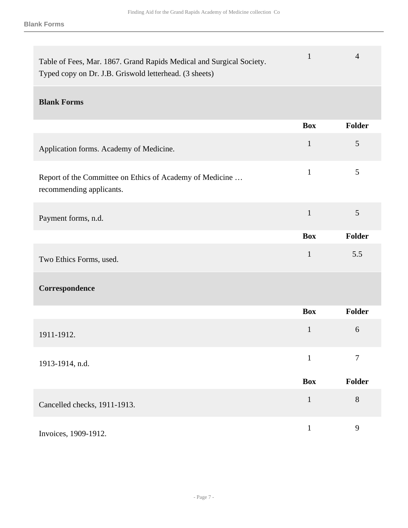| Table of Fees, Mar. 1867. Grand Rapids Medical and Surgical Society.<br>Typed copy on Dr. J.B. Griswold letterhead. (3 sheets) | $\mathbf{1}$ | $\overline{4}$ |
|--------------------------------------------------------------------------------------------------------------------------------|--------------|----------------|
| <b>Blank Forms</b>                                                                                                             |              |                |
|                                                                                                                                | <b>Box</b>   | <b>Folder</b>  |
| Application forms. Academy of Medicine.                                                                                        | $\mathbf{1}$ | $\mathfrak{S}$ |
| Report of the Committee on Ethics of Academy of Medicine<br>recommending applicants.                                           | $\mathbf{1}$ | 5              |
| Payment forms, n.d.                                                                                                            | $\mathbf{1}$ | 5              |
|                                                                                                                                | <b>Box</b>   | Folder         |
| Two Ethics Forms, used.                                                                                                        | $\mathbf{1}$ | 5.5            |
| Correspondence                                                                                                                 |              |                |
|                                                                                                                                | <b>Box</b>   | <b>Folder</b>  |
| 1911-1912.                                                                                                                     | $\mathbf{1}$ | 6              |
| 1913-1914, n.d.                                                                                                                | $\mathbf{1}$ | 7              |
|                                                                                                                                | <b>Box</b>   | Folder         |
| Cancelled checks, 1911-1913.                                                                                                   | $\mathbf{1}$ | $8\,$          |
| Invoices, 1909-1912.                                                                                                           | $\mathbf{1}$ | 9              |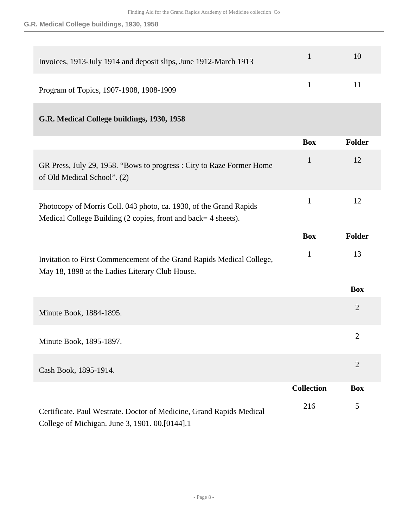| Invoices, 1913-July 1914 and deposit slips, June 1912-March 1913 |                              | 10    |
|------------------------------------------------------------------|------------------------------|-------|
| Program of Topics, 1907-1908, 1908-1909                          | $\sim$ 1.0 $\sim$ 0.0 $\sim$ | $-11$ |

## **G.R. Medical College buildings, 1930, 1958**

|                                                                                                                                     | <b>Box</b>        | <b>Folder</b>  |
|-------------------------------------------------------------------------------------------------------------------------------------|-------------------|----------------|
| GR Press, July 29, 1958. "Bows to progress : City to Raze Former Home<br>of Old Medical School". (2)                                | $\mathbf{1}$      | 12             |
| Photocopy of Morris Coll. 043 photo, ca. 1930, of the Grand Rapids<br>Medical College Building (2 copies, front and back=4 sheets). | $\mathbf{1}$      | 12             |
|                                                                                                                                     | <b>Box</b>        | <b>Folder</b>  |
| Invitation to First Commencement of the Grand Rapids Medical College,<br>May 18, 1898 at the Ladies Literary Club House.            | $\mathbf{1}$      | 13             |
|                                                                                                                                     |                   | <b>Box</b>     |
| Minute Book, 1884-1895.                                                                                                             |                   | $\overline{2}$ |
| Minute Book, 1895-1897.                                                                                                             |                   | $\overline{2}$ |
| Cash Book, 1895-1914.                                                                                                               |                   | $\overline{2}$ |
|                                                                                                                                     | <b>Collection</b> | <b>Box</b>     |
| Certificate. Paul Westrate. Doctor of Medicine, Grand Rapids Medical<br>College of Michigan. June 3, 1901. 00.[0144].1              | 216               | 5              |